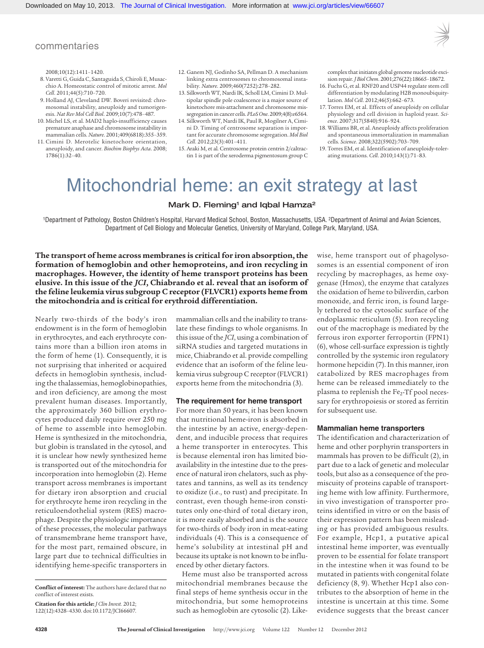# commentaries

2008;10(12):1411–1420.

- 8. Varetti G, Guida C, Santaguida S, Chiroli E, Musacchio A. Homeostatic control of mitotic arrest. *Mol Cell*. 2011;44(5):710–720.
- 9. Holland AJ, Cleveland DW. Boveri revisited: chromosomal instability, aneuploidy and tumorigenesis. *Nat Rev Mol Cell Biol*. 2009;10(7):478–487.
- 10. Michel LS, et al. MAD2 haplo-insufficiency causes premature anaphase and chromosome instability in mammalian cells. *Nature*. 2001;409(6818):355–359.
- 11. Cimini D. Merotelic kinetochore orientation, aneuploidy, and cancer. *Biochim Biophys Acta*. 2008; 1786(1):32–40.
- 12. Ganem NJ, Godinho SA, Pellman D. A mechanism linking extra centrosomes to chromosomal instability. *Nature*. 2009;460(7252):278–282.
- 13. Silkworth WT, Nardi IK, Scholl LM, Cimini D. Multipolar spindle pole coalescence is a major source of kinetochore mis-attachment and chromosome missegregation in cancer cells. *PLoS One*. 2009;4(8):e6564.
- 14. Silkworth WT, Nardi IK, Paul R, Mogilner A, Cimini D. Timing of centrosome separation is important for accurate chromosome segregation. *Mol Biol Cell*. 2012;23(3):401–411.
- 15. Araki M, et al. Centrosome protein centrin 2/caltractin 1 is part of the xeroderma pigmentosum group C

complex that initiates global genome nucleotide excision repair. *J Biol Chem*. 2001;276(22):18665–18672.

- 16. Fuchs G, et al. RNF20 and USP44 regulate stem cell differentiation by modulating H2B monoubiquitylation. *Mol Cell*. 2012;46(5):662–673.
- 17. Torres EM, et al. Effects of aneuploidy on cellular physiology and cell division in haploid yeast. *Science*. 2007;317(5840):916–924.
- 18. Williams BR, et al. Aneuploidy affects proliferation and spontaneous immortalization in mammalian cells. *Science*. 2008;322(5902):703–709.
- 19. Torres EM, et al. Identification of aneuploidy-tolerating mutations. *Cell*. 2010;143(1):71–83.

# Mitochondrial heme: an exit strategy at last

### Mark D. Fleming<sup>1</sup> and Iqbal Hamza<sup>2</sup>

1Department of Pathology, Boston Children's Hospital, Harvard Medical School, Boston, Massachusetts, USA. 2Department of Animal and Avian Sciences, Department of Cell Biology and Molecular Genetics, University of Maryland, College Park, Maryland, USA.

**The transport of heme across membranes is critical for iron absorption, the formation of hemoglobin and other hemoproteins, and iron recycling in macrophages. However, the identity of heme transport proteins has been elusive. In this issue of the** *JCI***, Chiabrando et al. reveal that an isoform of the feline leukemia virus subgroup C receptor (FLVCR1) exports heme from the mitochondria and is critical for erythroid differentiation.**

Nearly two-thirds of the body's iron endowment is in the form of hemoglobin in erythrocytes, and each erythrocyte contains more than a billion iron atoms in the form of heme (1). Consequently, it is not surprising that inherited or acquired defects in hemoglobin synthesis, including the thalassemias, hemoglobinopathies, and iron deficiency, are among the most prevalent human diseases. Importantly, the approximately 360 billion erythrocytes produced daily require over 250 mg of heme to assemble into hemoglobin. Heme is synthesized in the mitochondria, but globin is translated in the cytosol, and it is unclear how newly synthesized heme is transported out of the mitochondria for incorporation into hemoglobin (2). Heme transport across membranes is important for dietary iron absorption and crucial for erythrocyte heme iron recycling in the reticuloendothelial system (RES) macrophage. Despite the physiologic importance of these processes, the molecular pathways of transmembrane heme transport have, for the most part, remained obscure, in large part due to technical difficulties in identifying heme-specific transporters in mammalian cells and the inability to translate these findings to whole organisms. In this issue of the *JCI*, using a combination of siRNA studies and targeted mutations in mice, Chiabrando et al. provide compelling evidence that an isoform of the feline leukemia virus subgroup C receptor (FLVCR1) exports heme from the mitochondria (3).

#### **The requirement for heme transport**

For more than 50 years, it has been known that nutritional heme-iron is absorbed in the intestine by an active, energy-dependent, and inducible process that requires a heme transporter in enterocytes. This is because elemental iron has limited bioavailability in the intestine due to the presence of natural iron chelators, such as phytates and tannins, as well as its tendency to oxidize (i.e., to rust) and precipitate. In contrast, even though heme-iron constitutes only one-third of total dietary iron, it is more easily absorbed and is the source for two-thirds of body iron in meat-eating individuals (4). This is a consequence of heme's solubility at intestinal pH and because its uptake is not known to be influenced by other dietary factors.

Heme must also be transported across mitochondrial membranes because the final steps of heme synthesis occur in the mitochondria, but some hemoproteins such as hemoglobin are cytosolic (2). Likewise, heme transport out of phagolysosomes is an essential component of iron recycling by macrophages, as heme oxygenase (Hmox), the enzyme that catalyzes the oxidation of heme to biliverdin, carbon monoxide, and ferric iron, is found largely tethered to the cytosolic surface of the endoplasmic reticulum (5). Iron recycling out of the macrophage is mediated by the ferrous iron exporter ferroportin (FPN1) (6), whose cell-surface expression is tightly controlled by the systemic iron regulatory hormone hepcidin (7). In this manner, iron catabolized by RES macrophages from heme can be released immediately to the plasma to replenish the Fe<sub>2</sub>-Tf pool necessary for erythropoiesis or stored as ferritin for subsequent use.

#### **Mammalian heme transporters**

The identification and characterization of heme and other porphyrin transporters in mammals has proven to be difficult (2), in part due to a lack of genetic and molecular tools, but also as a consequence of the promiscuity of proteins capable of transporting heme with low affinity. Furthermore, in vivo investigation of transporter proteins identified in vitro or on the basis of their expression pattern has been misleading or has provided ambiguous results. For example, Hcp1, a putative apical intestinal heme importer, was eventually proven to be essential for folate transport in the intestine when it was found to be mutated in patients with congenital folate deficiency (8, 9). Whether Hcp1 also contributes to the absorption of heme in the intestine is uncertain at this time. Some evidence suggests that the breast cancer

**Conflict of interest:** The authors have declared that no conflict of interest exists.

**Citation for this article:** *J Clin Invest.* 2012; 122(12):4328–4330. doi:10.1172/JCI66607.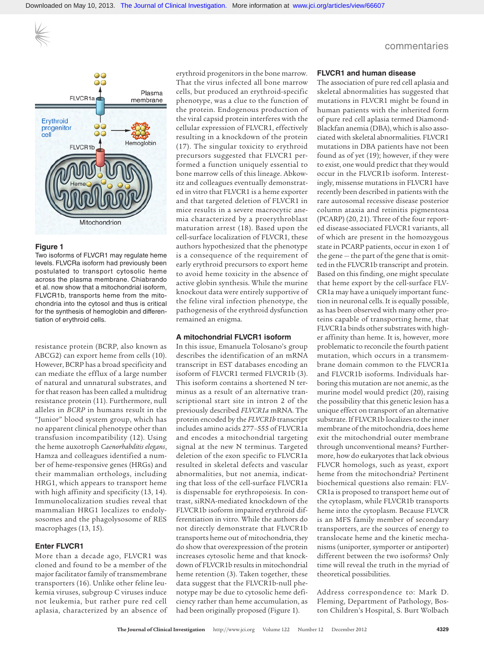

#### **Figure 1**

Two isoforms of FLVCR1 may regulate heme levels. FLVCRa isoform had previously been postulated to transport cytosolic heme across the plasma membrane. Chiabrando et al. now show that a mitochondrial isoform, FLVCR1b, transports heme from the mitochondria into the cytosol and thus is critical for the synthesis of hemoglobin and differentiation of erythroid cells.

resistance protein (BCRP, also known as ABCG2) can export heme from cells (10). However, BCRP has a broad specificity and can mediate the efflux of a large number of natural and unnatural substrates, and for that reason has been called a multidrug resistance protein (11). Furthermore, null alleles in *BCRP* in humans result in the "Junior" blood system group, which has no apparent clinical phenotype other than transfusion incompatibility (12). Using the heme auxotroph *Caenorhabditis elegans*, Hamza and colleagues identified a number of heme-responsive genes (HRGs) and their mammalian orthologs, including HRG1, which appears to transport heme with high affinity and specificity (13, 14). Immunolocalization studies reveal that mammalian HRG1 localizes to endolysosomes and the phagolysosome of RES macrophages (13, 15).

#### **Enter FLVCR1**

More than a decade ago, FLVCR1 was cloned and found to be a member of the major facilitator family of transmembrane transporters (16). Unlike other feline leukemia viruses, subgroup C viruses induce not leukemia, but rather pure red cell aplasia, characterized by an absence of erythroid progenitors in the bone marrow. That the virus infected all bone marrow cells, but produced an erythroid-specific phenotype, was a clue to the function of the protein. Endogenous production of the viral capsid protein interferes with the cellular expression of FLVCR1, effectively resulting in a knockdown of the protein (17). The singular toxicity to erythroid precursors suggested that FLVCR1 performed a function uniquely essential to bone marrow cells of this lineage. Abkowitz and colleagues eventually demonstrated in vitro that FLVCR1 is a heme exporter and that targeted deletion of FLVCR1 in mice results in a severe macrocytic anemia characterized by a proerythroblast maturation arrest (18). Based upon the cell-surface localization of FLVCR1, these authors hypothesized that the phenotype is a consequence of the requirement of early erythroid precursors to export heme to avoid heme toxicity in the absence of active globin synthesis. While the murine knockout data were entirely supportive of the feline viral infection phenotype, the pathogenesis of the erythroid dysfunction remained an enigma.

#### **A mitochondrial FLVCR1 isoform**

In this issue, Emanuela Tolosano's group describes the identification of an mRNA transcript in EST databases encoding an isoform of FLVCR1 termed FLVCR1b (3). This isoform contains a shortened N terminus as a result of an alternative transcriptional start site in intron 2 of the previously described *FLVCR1a* mRNA. The protein encoded by the *FLVCR1b* transcript includes amino acids 277–555 of FLVCR1a and encodes a mitochondrial targeting signal at the new N terminus. Targeted deletion of the exon specific to FLVCR1a resulted in skeletal defects and vascular abnormalities, but not anemia, indicating that loss of the cell-surface FLVCR1a is dispensable for erythropoiesis. In contrast, siRNA-mediated knockdown of the FLVCR1b isoform impaired erythroid differentiation in vitro. While the authors do not directly demonstrate that FLVCR1b transports heme out of mitochondria, they do show that overexpression of the protein increases cytosolic heme and that knockdown of FLVCR1b results in mitochondrial heme retention (3). Taken together, these data suggest that the FLVCR1b-null phenotype may be due to cytosolic heme deficiency rather than heme accumulation, as had been originally proposed (Figure 1).

# commentaries

#### **FLVCR1 and human disease**

The association of pure red cell aplasia and skeletal abnormalities has suggested that mutations in FLVCR1 might be found in human patients with the inherited form of pure red cell aplasia termed Diamond-Blackfan anemia (DBA), which is also associated with skeletal abnormalities. FLVCR1 mutations in DBA patients have not been found as of yet (19); however, if they were to exist, one would predict that they would occur in the FLVCR1b isoform. Interestingly, missense mutations in FLVCR1 have recently been described in patients with the rare autosomal recessive disease posterior column ataxia and retinitis pigmentosa (PCARP) (20, 21). Three of the four reported disease-associated FLVCR1 variants, all of which are present in the homozygous state in PCARP patients, occur in exon 1 of the gene — the part of the gene that is omitted in the FLVCR1b transcript and protein. Based on this finding, one might speculate that heme export by the cell-surface FLV-CR1a may have a uniquely important function in neuronal cells. It is equally possible, as has been observed with many other proteins capable of transporting heme, that FLVCR1a binds other substrates with higher affinity than heme. It is, however, more problematic to reconcile the fourth patient mutation, which occurs in a transmembrane domain common to the FLVCR1a and FLVCR1b isoforms. Individuals harboring this mutation are not anemic, as the murine model would predict (20), raising the possibility that this genetic lesion has a unique effect on transport of an alternative substrate. If FLVCR1b localizes to the inner membrane of the mitochondria, does heme exit the mitochondrial outer membrane through unconventional means? Furthermore, how do eukaryotes that lack obvious FLVCR homologs, such as yeast, export heme from the mitochondria? Pertinent biochemical questions also remain: FLV-CR1a is proposed to transport heme out of the cytoplasm, while FLVCR1b transports heme into the cytoplasm. Because FLVCR is an MFS family member of secondary transporters, are the sources of energy to translocate heme and the kinetic mechanisms (uniporter, symporter or antiporter) different between the two isoforms? Only time will reveal the truth in the myriad of theoretical possibilities.

Address correspondence to: Mark D. Fleming, Department of Pathology, Boston Children's Hospital, S. Burt Wolbach